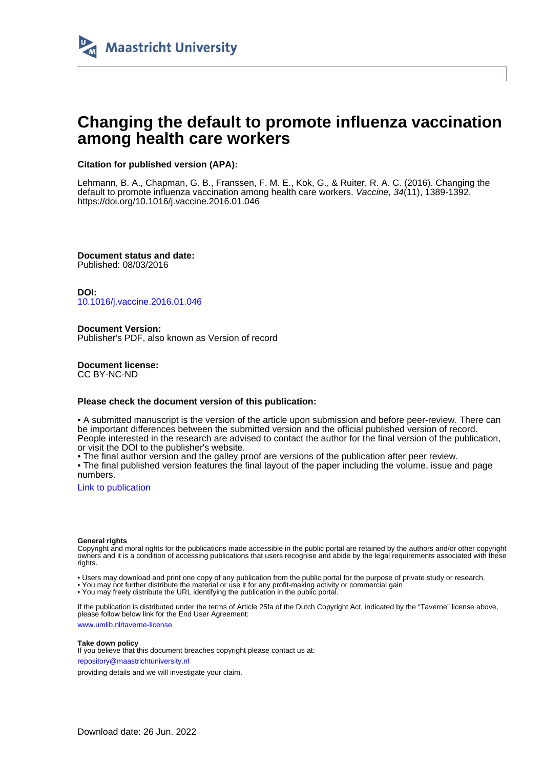

# **Changing the default to promote influenza vaccination among health care workers**

# **Citation for published version (APA):**

Lehmann, B. A., Chapman, G. B., Franssen, F. M. E., Kok, G., & Ruiter, R. A. C. (2016). Changing the default to promote influenza vaccination among health care workers. Vaccine, 34(11), 1389-1392. <https://doi.org/10.1016/j.vaccine.2016.01.046>

**Document status and date:** Published: 08/03/2016

**DOI:** [10.1016/j.vaccine.2016.01.046](https://doi.org/10.1016/j.vaccine.2016.01.046)

**Document Version:** Publisher's PDF, also known as Version of record

**Document license:** CC BY-NC-ND

# **Please check the document version of this publication:**

• A submitted manuscript is the version of the article upon submission and before peer-review. There can be important differences between the submitted version and the official published version of record. People interested in the research are advised to contact the author for the final version of the publication, or visit the DOI to the publisher's website.

• The final author version and the galley proof are versions of the publication after peer review.

• The final published version features the final layout of the paper including the volume, issue and page numbers.

[Link to publication](https://cris.maastrichtuniversity.nl/en/publications/a951663a-e514-4466-ac38-1b5cd7821373)

# **General rights**

Copyright and moral rights for the publications made accessible in the public portal are retained by the authors and/or other copyright owners and it is a condition of accessing publications that users recognise and abide by the legal requirements associated with these rights.

• Users may download and print one copy of any publication from the public portal for the purpose of private study or research.

• You may not further distribute the material or use it for any profit-making activity or commercial gain

• You may freely distribute the URL identifying the publication in the public portal.

If the publication is distributed under the terms of Article 25fa of the Dutch Copyright Act, indicated by the "Taverne" license above, please follow below link for the End User Agreement:

www.umlib.nl/taverne-license

# **Take down policy**

If you believe that this document breaches copyright please contact us at: repository@maastrichtuniversity.nl

providing details and we will investigate your claim.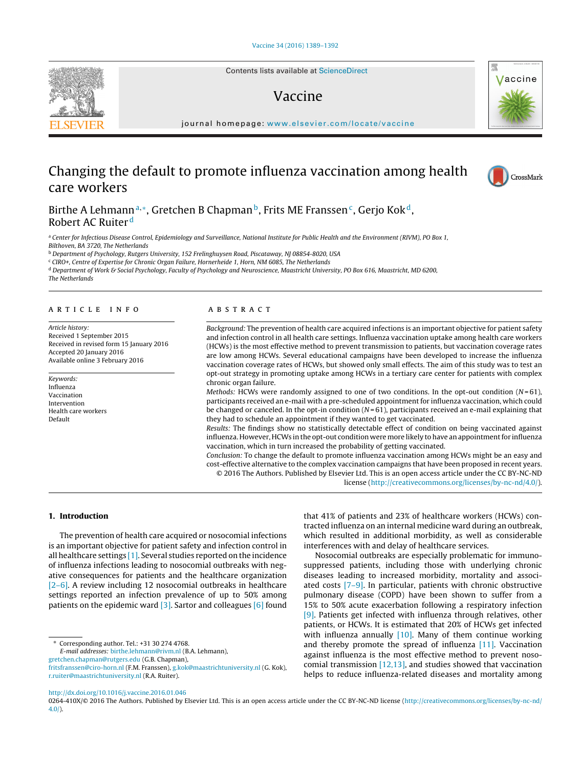Contents lists available at [ScienceDirect](http://www.sciencedirect.com/science/journal/0264410X)

# Vaccine

iournal homepage: [www.elsevier.com/locate/vaccine](http://www.elsevier.com/locate/vaccine)

# Changing the default to promote influenza vaccination among health care workers

Birthe A Lehmann<sup>a,∗</sup>, Gretchen B Chapman<sup>b</sup>, Frits ME Franssen<sup>c</sup>, Gerjo Kok<sup>d</sup>, Robert AC Ruiter<sup>d</sup>

a Center for Infectious Disease Control, Epidemiology and Surveillance, National Institute for Public Health and the Environment (RIVM), PO Box 1, Bilthoven, BA 3720, The Netherlands

<sup>b</sup> Department of Psychology, Rutgers University, 152 Frelinghuysen Road, Piscataway, NJ 08854-8020, USA

<sup>c</sup> CIRO+, Centre of Expertise for Chronic Organ Failure, Hornerheide 1, Horn, NM 6085, The Netherlands

<sup>d</sup> Department of Work & Social Psychology, Faculty of Psychology and Neuroscience, Maastricht University, PO Box 616, Maastricht, MD 6200, The Netherlands

#### A R T I C L E I N F O

Article history: Received 1 September 2015 Received in revised form 15 January 2016 Accepted 20 January 2016 Available online 3 February 2016

Keywords: Influenza Vaccination Intervention Health care workers Default

#### a b s t r a c t

Background: The prevention of health care acquired infections is an important objective for patient safety and infection control in all health care settings. Influenza vaccination uptake among health care workers (HCWs) is the most effective method to prevent transmission to patients, but vaccination coverage rates are low among HCWs. Several educational campaigns have been developed to increase the influenza vaccination coverage rates of HCWs, but showed only small effects. The aim of this study was to test an opt-out strategy in promoting uptake among HCWs in a tertiary care center for patients with complex chronic organ failure.

*Methods:* HCWs were randomly assigned to one of two conditions. In the opt-out condition  $(N=61)$ , participants received an e-mail with a pre-scheduled appointment for influenza vaccination, which could be changed or canceled. In the opt-in condition  $(N=61)$ , participants received an e-mail explaining that they had to schedule an appointment if they wanted to get vaccinated.

Results: The findings show no statistically detectable effect of condition on being vaccinated against influenza. However, HCWs in the opt-out condition were more likely to have an appointment for influenza vaccination, which in turn increased the probability of getting vaccinated.

Conclusion: To change the default to promote influenza vaccination among HCWs might be an easy and cost-effective alternative to the complex vaccination campaigns that have been proposed in recent years. © 2016 The Authors. Published by Elsevier Ltd. This is an open access article under the CC BY-NC-ND

license [\(http://creativecommons.org/licenses/by-nc-nd/4.0/](http://creativecommons.org/licenses/by-nc-nd/4.0/)).

### **1. Introduction**

The prevention of health care acquired or nosocomial infections is an important objective for patient safety and infection control in all healthcare settings [\[1\].](#page-4-0) Several studies reported on the incidence of influenza infections leading to nosocomial outbreaks with negative consequences for patients and the healthcare organization [\[2–6\].](#page-4-0) A review including 12 nosocomial outbreaks in healthcare settings reported an infection prevalence of up to 50% among patients on the epidemic ward [\[3\].](#page-4-0) Sartor and colleagues [\[6\]](#page-4-0) found

∗ Corresponding author. Tel.: +31 30 274 4768.

E-mail addresses: [birthe.lehmann@rivm.nl](mailto:birthe.lehmann@rivm.nl) (B.A. Lehmann),

[gretchen.chapman@rutgers.edu](mailto:gretchen.chapman@rutgers.edu) (G.B. Chapman), [fritsfranssen@ciro-horn.nl](mailto:fritsfranssen@ciro-horn.nl) (F.M. Franssen), [g.kok@maastrichtuniversity.nl](mailto:g.kok@maastrichtuniversity.nl) (G. Kok), [r.ruiter@maastrichtuniversity.nl](mailto:r.ruiter@maastrichtuniversity.nl) (R.A. Ruiter).

that 41% of patients and 23% of healthcare workers (HCWs) contracted influenza on an internal medicine ward during an outbreak, which resulted in additional morbidity, as well as considerable interferences with and delay of healthcare services.

Nosocomial outbreaks are especially problematic for immunosuppressed patients, including those with underlying chronic diseases leading to increased morbidity, mortality and associated costs [\[7–9\].](#page-4-0) In particular, patients with chronic obstructive pulmonary disease (COPD) have been shown to suffer from a 15% to 50% acute exacerbation following a respiratory infection [\[9\].](#page-4-0) Patients get infected with influenza through relatives, other patients, or HCWs. It is estimated that 20% of HCWs get infected with influenza annually [\[10\].](#page-4-0) Many of them continue working and thereby promote the spread of influenza  $[11]$ . Vaccination against influenza is the most effective method to prevent nosocomial transmission  $[12,13]$ , and studies showed that vaccination helps to reduce influenza-related diseases and mortality among

[http://dx.doi.org/10.1016/j.vaccine.2016.01.046](dx.doi.org/10.1016/j.vaccine.2016.01.046)





CrossMark

<sup>0264-410</sup>X/© 2016 The Authors. Published by Elsevier Ltd. This is an open access article under the CC BY-NC-ND license ([http://creativecommons.org/licenses/by-nc-nd/](http://creativecommons.org/licenses/by-nc-nd/4.0/) [4.0/](http://creativecommons.org/licenses/by-nc-nd/4.0/)).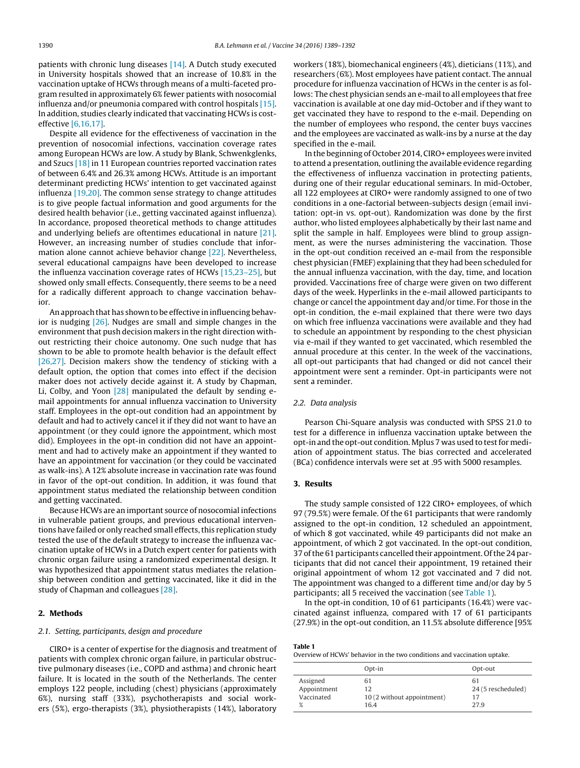patients with chronic lung diseases [\[14\].](#page-4-0) A Dutch study executed in University hospitals showed that an increase of 10.8% in the vaccination uptake of HCWs through means of a multi-faceted program resulted in approximately 6% fewer patients with nosocomial influenza and/or pneumonia compared with control hospitals [\[15\].](#page-4-0) In addition, studies clearly indicated that vaccinating HCWs is costeffective [\[6,16,17\].](#page-4-0)

Despite all evidence for the effectiveness of vaccination in the prevention of nosocomial infections, vaccination coverage rates among European HCWs are low. A study by Blank, Schwenkglenks, and Szucs [\[18\]](#page-4-0) in 11 European countries reported vaccination rates of between 6.4% and 26.3% among HCWs. Attitude is an important determinant predicting HCWs' intention to get vaccinated against influenza [\[19,20\].](#page-4-0) The common sense strategy to change attitudes is to give people factual information and good arguments for the desired health behavior (i.e., getting vaccinated against influenza). In accordance, proposed theoretical methods to change attitudes and underlying beliefs are oftentimes educational in nature [\[21\].](#page-4-0) However, an increasing number of studies conclude that information alone cannot achieve behavior change [\[22\].](#page-4-0) Nevertheless, several educational campaigns have been developed to increase the influenza vaccination coverage rates of HCWs [\[15,23–25\],](#page-4-0) but showed only small effects. Consequently, there seems to be a need for a radically different approach to change vaccination behavior.

An approach that has shown to be effective in influencing behavior is nudging [\[26\].](#page-4-0) Nudges are small and simple changes in the environment that push decision makers in the right direction without restricting their choice autonomy. One such nudge that has shown to be able to promote health behavior is the default effect [\[26,27\].](#page-4-0) Decision makers show the tendency of sticking with a default option, the option that comes into effect if the decision maker does not actively decide against it. A study by Chapman, Li, Colby, and Yoon  $[28]$  manipulated the default by sending email appointments for annual influenza vaccination to University staff. Employees in the opt-out condition had an appointment by default and had to actively cancel it if they did not want to have an appointment (or they could ignore the appointment, which most did). Employees in the opt-in condition did not have an appointment and had to actively make an appointment if they wanted to have an appointment for vaccination (or they could be vaccinated as walk-ins). A 12% absolute increase in vaccination rate was found in favor of the opt-out condition. In addition, it was found that appointment status mediated the relationship between condition and getting vaccinated.

Because HCWs are an important source of nosocomial infections in vulnerable patient groups, and previous educational interventions have failed or only reached small effects, this replication study tested the use of the default strategy to increase the influenza vaccination uptake of HCWs in a Dutch expert center for patients with chronic organ failure using a randomized experimental design. It was hypothesized that appointment status mediates the relationship between condition and getting vaccinated, like it did in the study of Chapman and colleagues [\[28\].](#page-4-0)

# **2. Methods**

### 2.1. Setting, participants, design and procedure

CIRO+ is a center of expertise for the diagnosis and treatment of patients with complex chronic organ failure, in particular obstructive pulmonary diseases (i.e., COPD and asthma) and chronic heart failure. It is located in the south of the Netherlands. The center employs 122 people, including (chest) physicians (approximately 6%), nursing staff (33%), psychotherapists and social workers (5%), ergo-therapists (3%), physiotherapists (14%), laboratory

workers (18%), biomechanical engineers (4%), dieticians (11%), and researchers (6%). Most employees have patient contact. The annual procedure for influenza vaccination of HCWs in the center is as follows: The chest physician sends an e-mail to all employees that free vaccination is available at one day mid-October and if they want to get vaccinated they have to respond to the e-mail. Depending on the number of employees who respond, the center buys vaccines and the employees are vaccinated as walk-ins by a nurse at the day specified in the e-mail.

In the beginning of October 2014, CIRO+ employees were invited to attend a presentation, outlining the available evidence regarding the effectiveness of influenza vaccination in protecting patients, during one of their regular educational seminars. In mid-October, all 122 employees at CIRO+ were randomly assigned to one of two conditions in a one-factorial between-subjects design (email invitation: opt-in vs. opt-out). Randomization was done by the first author, who listed employees alphabetically by their last name and split the sample in half. Employees were blind to group assignment, as were the nurses administering the vaccination. Those in the opt-out condition received an e-mail from the responsible chest physician (FMEF) explaining that they had been scheduled for the annual influenza vaccination, with the day, time, and location provided. Vaccinations free of charge were given on two different days of the week. Hyperlinks in the e-mail allowed participants to change or cancel the appointment day and/or time. For those in the opt-in condition, the e-mail explained that there were two days on which free influenza vaccinations were available and they had to schedule an appointment by responding to the chest physician via e-mail if they wanted to get vaccinated, which resembled the annual procedure at this center. In the week of the vaccinations, all opt-out participants that had changed or did not cancel their appointment were sent a reminder. Opt-in participants were not sent a reminder.

#### 2.2. Data analysis

Pearson Chi-Square analysis was conducted with SPSS 21.0 to test for a difference in influenza vaccination uptake between the opt-in and the opt-out condition. Mplus 7 was used to test for mediation of appointment status. The bias corrected and accelerated (BCa) confidence intervals were set at .95 with 5000 resamples.

# **3. Results**

The study sample consisted of 122 CIRO+ employees, of which 97 (79.5%) were female. Of the 61 participants that were randomly assigned to the opt-in condition, 12 scheduled an appointment, of which 8 got vaccinated, while 49 participants did not make an appointment, of which 2 got vaccinated. In the opt-out condition, 37 of the 61 participants cancelled their appointment. Of the 24 participants that did not cancel their appointment, 19 retained their original appointment of whom 12 got vaccinated and 7 did not. The appointment was changed to a different time and/or day by 5 participants; all 5 received the vaccination (see Table 1).

In the opt-in condition, 10 of 61 participants (16.4%) were vaccinated against influenza, compared with 17 of 61 participants (27.9%) in the opt-out condition, an 11.5% absolute difference [95%

| <b>Table 1</b> |  |  |  |  |
|----------------|--|--|--|--|
|                |  |  |  |  |

Overview of HCWs' behavior in the two conditions and vaccination uptake.

|             | Opt-in                     | Opt-out            |
|-------------|----------------------------|--------------------|
| Assigned    | 61                         | 61                 |
| Appointment | 12                         | 24 (5 rescheduled) |
| Vaccinated  | 10 (2 without appointment) | 17                 |
| %           | 16.4                       | 279                |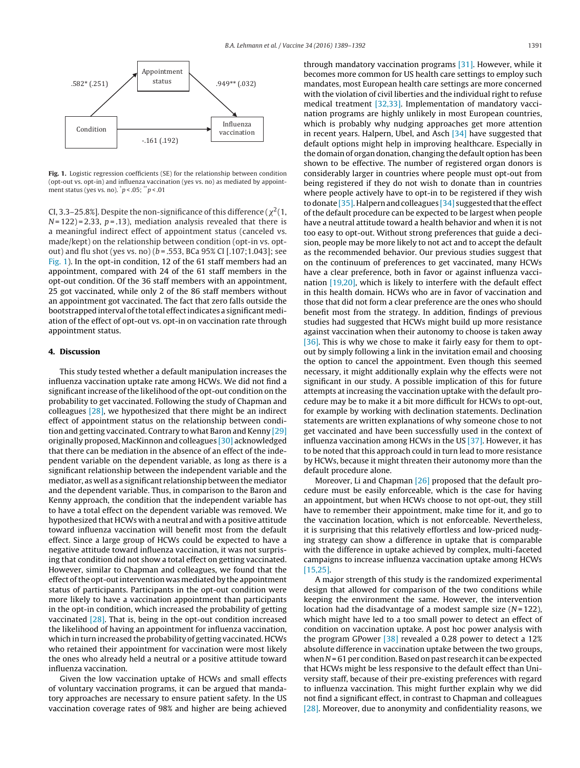

**Fig. 1.** Logistic regression coefficients (SE) for the relationship between condition (opt-out vs. opt-in) and influenza vaccination (yes vs. no) as mediated by appointment status (yes vs. no).  $\dot{p}$  < .05;  $\dot{p}$  < .01

CI, 3.3–25.8%]. Despite the non-significance of this difference ( $\chi^2(1,$  $N = 122$ ) = 2.33,  $p = .13$ ), mediation analysis revealed that there is a meaningful indirect effect of appointment status (canceled vs. made/kept) on the relationship between condition (opt-in vs. optout) and flu shot (yes vs. no) ( $b = 0.553$ , BCa 95% CI [.107;1.043]; see Fig. 1). In the opt-in condition, 12 of the 61 staff members had an appointment, compared with 24 of the 61 staff members in the opt-out condition. Of the 36 staff members with an appointment, 25 got vaccinated, while only 2 of the 86 staff members without an appointment got vaccinated. The fact that zero falls outside the bootstrapped interval of the total effect indicates a significant mediation of the effect of opt-out vs. opt-in on vaccination rate through appointment status.

## **4. Discussion**

This study tested whether a default manipulation increases the influenza vaccination uptake rate among HCWs. We did not find a significant increase of the likelihood of the opt-out condition on the probability to get vaccinated. Following the study of Chapman and colleagues [\[28\],](#page-4-0) we hypothesized that there might be an indirect effect of appointment status on the relationship between condition and getting vaccinated. Contrary to what Baron and Kenny [\[29\]](#page-4-0) originally proposed, MacKinnon and colleagues [\[30\]](#page-4-0) acknowledged that there can be mediation in the absence of an effect of the independent variable on the dependent variable, as long as there is a significant relationship between the independent variable and the mediator, as well as a significant relationship between the mediator and the dependent variable. Thus, in comparison to the Baron and Kenny approach, the condition that the independent variable has to have a total effect on the dependent variable was removed. We hypothesized that HCWs with a neutral and with a positive attitude toward influenza vaccination will benefit most from the default effect. Since a large group of HCWs could be expected to have a negative attitude toward influenza vaccination, it was not surprising that condition did not show a total effect on getting vaccinated. However, similar to Chapman and colleagues, we found that the effect of the opt-out intervention was mediated by the appointment status of participants. Participants in the opt-out condition were more likely to have a vaccination appointment than participants in the opt-in condition, which increased the probability of getting vaccinated [\[28\].](#page-4-0) That is, being in the opt-out condition increased the likelihood of having an appointment for influenza vaccination, which in turn increased the probability of getting vaccinated. HCWs who retained their appointment for vaccination were most likely the ones who already held a neutral or a positive attitude toward influenza vaccination.

Given the low vaccination uptake of HCWs and small effects of voluntary vaccination programs, it can be argued that mandatory approaches are necessary to ensure patient safety. In the US vaccination coverage rates of 98% and higher are being achieved

through mandatory vaccination programs [\[31\].](#page-4-0) However, while it becomes more common for US health care settings to employ such mandates, most European health care settings are more concerned with the violation of civil liberties and the individual right to refuse medical treatment [\[32,33\].](#page-4-0) Implementation of mandatory vaccination programs are highly unlikely in most European countries, which is probably why nudging approaches get more attention in recent years. Halpern, Ubel, and Asch [\[34\]](#page-4-0) have suggested that default options might help in improving healthcare. Especially in the domain of organ donation, changing the default option has been shown to be effective. The number of registered organ donors is considerably larger in countries where people must opt-out from being registered if they do not wish to donate than in countries where people actively have to opt-in to be registered if they wish to donate [35]. Halpern and colleagues [\[34\]](#page-4-0) suggested that the effect of the default procedure can be expected to be largest when people have a neutral attitude toward a health behavior and when it is not too easy to opt-out. Without strong preferences that guide a decision, people may be more likely to not act and to accept the default as the recommended behavior. Our previous studies suggest that on the continuum of preferences to get vaccinated, many HCWs have a clear preference, both in favor or against influenza vaccination [\[19,20\],](#page-4-0) which is likely to interfere with the default effect in this health domain. HCWs who are in favor of vaccination and those that did not form a clear preference are the ones who should benefit most from the strategy. In addition, findings of previous studies had suggested that HCWs might build up more resistance against vaccination when their autonomy to choose is taken away [\[36\].](#page-4-0) This is why we chose to make it fairly easy for them to optout by simply following a link in the invitation email and choosing the option to cancel the appointment. Even though this seemed necessary, it might additionally explain why the effects were not significant in our study. A possible implication of this for future attempts at increasing the vaccination uptake with the default procedure may be to make it a bit more difficult for HCWs to opt-out, for example by working with declination statements. Declination statements are written explanations of why someone chose to not get vaccinated and have been successfully used in the context of influenza vaccination among HCWs in the US [\[37\].](#page-4-0) However, it has to be noted that this approach could in turn lead to more resistance by HCWs, because it might threaten their autonomy more than the default procedure alone.

Moreover, Li and Chapman [\[26\]](#page-4-0) proposed that the default procedure must be easily enforceable, which is the case for having an appointment, but when HCWs choose to not opt-out, they still have to remember their appointment, make time for it, and go to the vaccination location, which is not enforceable. Nevertheless, it is surprising that this relatively effortless and low-priced nudging strategy can show a difference in uptake that is comparable with the difference in uptake achieved by complex, multi-faceted campaigns to increase influenza vaccination uptake among HCWs [\[15,25\].](#page-4-0)

A major strength of this study is the randomized experimental design that allowed for comparison of the two conditions while keeping the environment the same. However, the intervention location had the disadvantage of a modest sample size  $(N = 122)$ , which might have led to a too small power to detect an effect of condition on vaccination uptake. A post hoc power analysis with the program GPower [\[38\]](#page-4-0) revealed a 0.28 power to detect a 12% absolute difference in vaccination uptake between the two groups, when  $N = 61$  per condition. Based on past research it can be expected that HCWs might be less responsive to the default effect than University staff, because of their pre-existing preferences with regard to influenza vaccination. This might further explain why we did not find a significant effect, in contrast to Chapman and colleagues [\[28\].](#page-4-0) Moreover, due to anonymity and confidentiality reasons, we